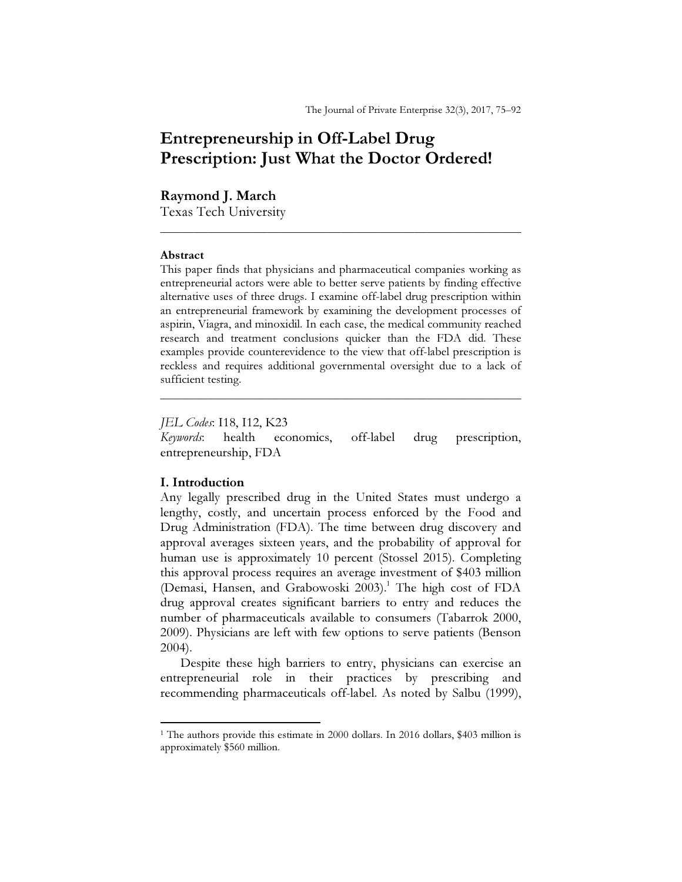# Entrepreneurship in Off-Label Drug Prescription: Just What the Doctor Ordered!

# Raymond J. March

Texas Tech University

### Abstract

This paper finds that physicians and pharmaceutical companies working as entrepreneurial actors were able to better serve patients by finding effective alternative uses of three drugs. I examine off-label drug prescription within an entrepreneurial framework by examining the development processes of aspirin, Viagra, and minoxidil. In each case, the medical community reached research and treatment conclusions quicker than the FDA did. These examples provide counterevidence to the view that off-label prescription is reckless and requires additional governmental oversight due to a lack of sufficient testing.

\_\_\_\_\_\_\_\_\_\_\_\_\_\_\_\_\_\_\_\_\_\_\_\_\_\_\_\_\_\_\_\_\_\_\_\_\_\_\_\_\_\_\_\_\_\_\_\_\_\_\_\_\_\_

JEL Codes: I18, I12, K23 Keywords: health economics, off-label drug prescription, entrepreneurship, FDA

\_\_\_\_\_\_\_\_\_\_\_\_\_\_\_\_\_\_\_\_\_\_\_\_\_\_\_\_\_\_\_\_\_\_\_\_\_\_\_\_\_\_\_\_\_\_\_\_\_\_\_\_\_\_

# I. Introduction

 $\overline{a}$ 

Any legally prescribed drug in the United States must undergo a lengthy, costly, and uncertain process enforced by the Food and Drug Administration (FDA). The time between drug discovery and approval averages sixteen years, and the probability of approval for human use is approximately 10 percent (Stossel 2015). Completing this approval process requires an average investment of \$403 million (Demasi, Hansen, and Grabowoski 2003).<sup>1</sup> The high cost of FDA drug approval creates significant barriers to entry and reduces the number of pharmaceuticals available to consumers (Tabarrok 2000, 2009). Physicians are left with few options to serve patients (Benson 2004).

Despite these high barriers to entry, physicians can exercise an entrepreneurial role in their practices by prescribing and recommending pharmaceuticals off-label. As noted by Salbu (1999),

<sup>&</sup>lt;sup>1</sup> The authors provide this estimate in 2000 dollars. In 2016 dollars, \$403 million is approximately \$560 million.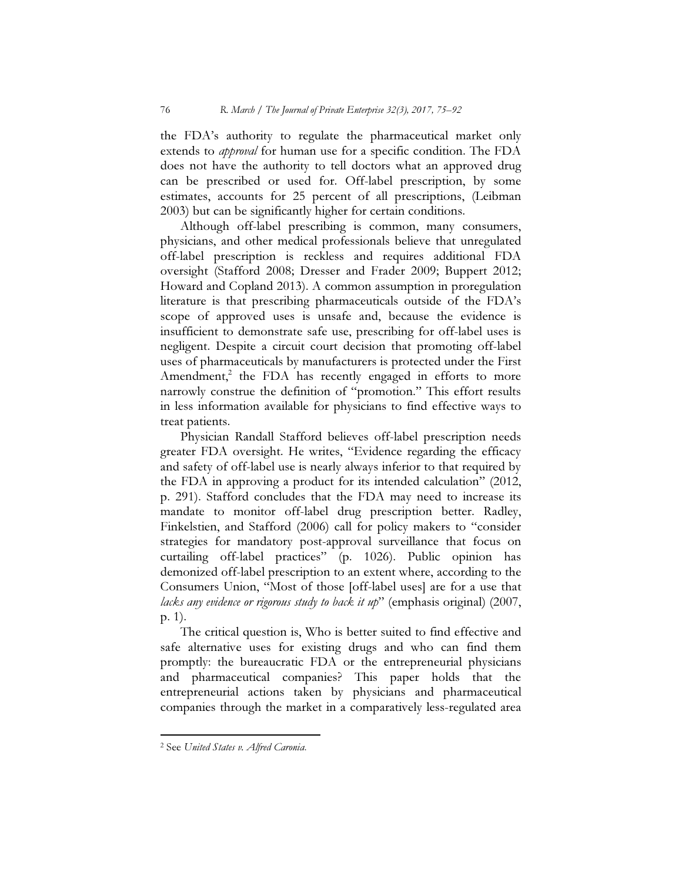the FDA's authority to regulate the pharmaceutical market only extends to *approval* for human use for a specific condition. The FDA does not have the authority to tell doctors what an approved drug can be prescribed or used for. Off-label prescription, by some estimates, accounts for 25 percent of all prescriptions, (Leibman 2003) but can be significantly higher for certain conditions.

Although off-label prescribing is common, many consumers, physicians, and other medical professionals believe that unregulated off-label prescription is reckless and requires additional FDA oversight (Stafford 2008; Dresser and Frader 2009; Buppert 2012; Howard and Copland 2013). A common assumption in proregulation literature is that prescribing pharmaceuticals outside of the FDA's scope of approved uses is unsafe and, because the evidence is insufficient to demonstrate safe use, prescribing for off-label uses is negligent. Despite a circuit court decision that promoting off-label uses of pharmaceuticals by manufacturers is protected under the First Amendment, $2$  the FDA has recently engaged in efforts to more narrowly construe the definition of "promotion." This effort results in less information available for physicians to find effective ways to treat patients.

Physician Randall Stafford believes off-label prescription needs greater FDA oversight. He writes, "Evidence regarding the efficacy and safety of off-label use is nearly always inferior to that required by the FDA in approving a product for its intended calculation" (2012, p. 291). Stafford concludes that the FDA may need to increase its mandate to monitor off-label drug prescription better. Radley, Finkelstien, and Stafford (2006) call for policy makers to "consider strategies for mandatory post-approval surveillance that focus on curtailing off-label practices" (p. 1026). Public opinion has demonized off-label prescription to an extent where, according to the Consumers Union, "Most of those [off-label uses] are for a use that lacks any evidence or rigorous study to back it up" (emphasis original)  $(2007,$ p. 1).

The critical question is, Who is better suited to find effective and safe alternative uses for existing drugs and who can find them promptly: the bureaucratic FDA or the entrepreneurial physicians and pharmaceutical companies? This paper holds that the entrepreneurial actions taken by physicians and pharmaceutical companies through the market in a comparatively less-regulated area

<sup>&</sup>lt;sup>2</sup> See United States v. Alfred Caronia.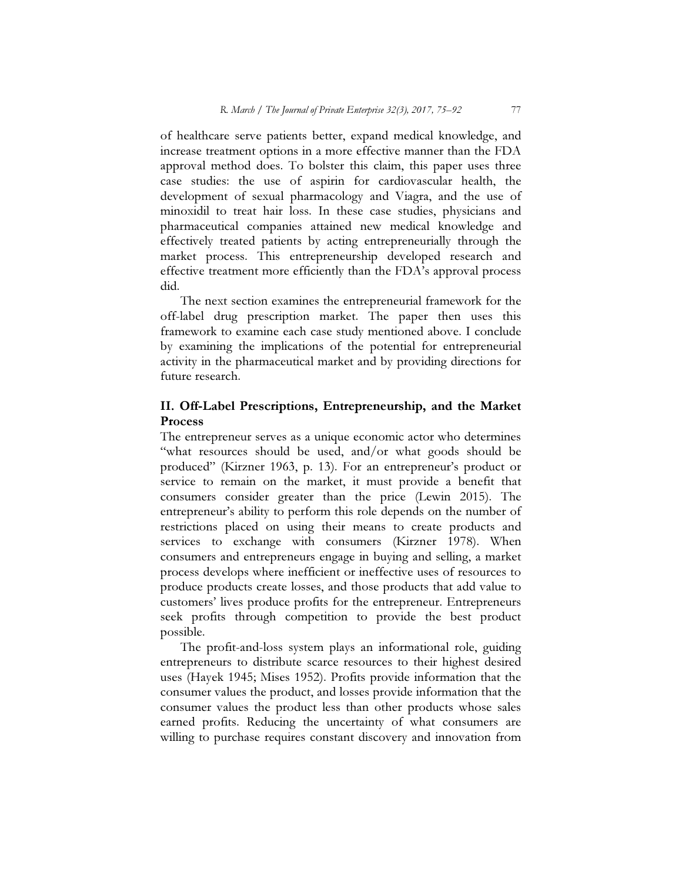of healthcare serve patients better, expand medical knowledge, and increase treatment options in a more effective manner than the FDA approval method does. To bolster this claim, this paper uses three case studies: the use of aspirin for cardiovascular health, the development of sexual pharmacology and Viagra, and the use of minoxidil to treat hair loss. In these case studies, physicians and pharmaceutical companies attained new medical knowledge and effectively treated patients by acting entrepreneurially through the market process. This entrepreneurship developed research and effective treatment more efficiently than the FDA's approval process did.

The next section examines the entrepreneurial framework for the off-label drug prescription market. The paper then uses this framework to examine each case study mentioned above. I conclude by examining the implications of the potential for entrepreneurial activity in the pharmaceutical market and by providing directions for future research.

## II. Off-Label Prescriptions, Entrepreneurship, and the Market **Process**

The entrepreneur serves as a unique economic actor who determines "what resources should be used, and/or what goods should be produced" (Kirzner 1963, p. 13). For an entrepreneur's product or service to remain on the market, it must provide a benefit that consumers consider greater than the price (Lewin 2015). The entrepreneur's ability to perform this role depends on the number of restrictions placed on using their means to create products and services to exchange with consumers (Kirzner 1978). When consumers and entrepreneurs engage in buying and selling, a market process develops where inefficient or ineffective uses of resources to produce products create losses, and those products that add value to customers' lives produce profits for the entrepreneur. Entrepreneurs seek profits through competition to provide the best product possible.

The profit-and-loss system plays an informational role, guiding entrepreneurs to distribute scarce resources to their highest desired uses (Hayek 1945; Mises 1952). Profits provide information that the consumer values the product, and losses provide information that the consumer values the product less than other products whose sales earned profits. Reducing the uncertainty of what consumers are willing to purchase requires constant discovery and innovation from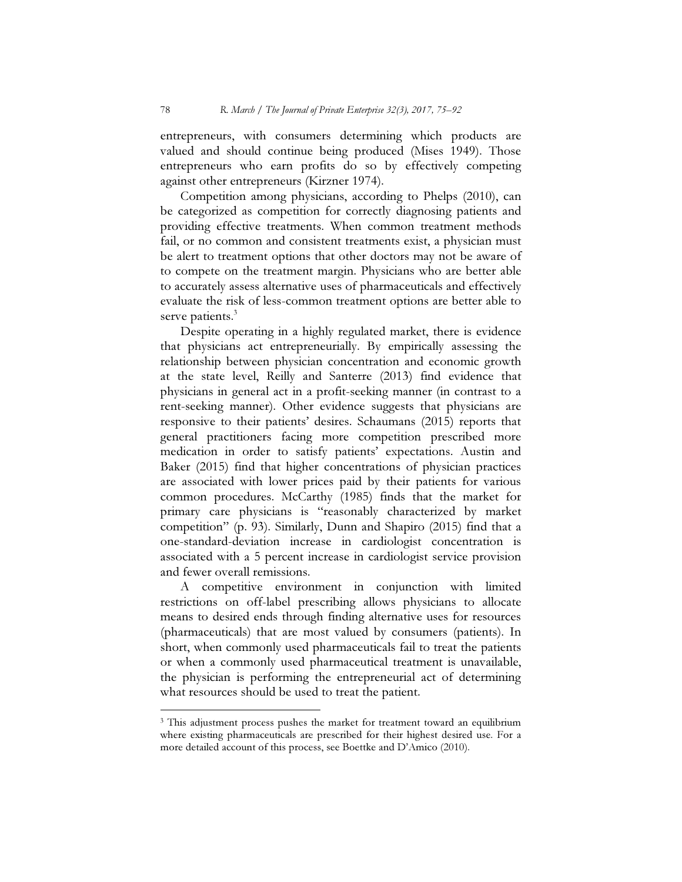entrepreneurs, with consumers determining which products are valued and should continue being produced (Mises 1949). Those entrepreneurs who earn profits do so by effectively competing against other entrepreneurs (Kirzner 1974).

Competition among physicians, according to Phelps (2010), can be categorized as competition for correctly diagnosing patients and providing effective treatments. When common treatment methods fail, or no common and consistent treatments exist, a physician must be alert to treatment options that other doctors may not be aware of to compete on the treatment margin. Physicians who are better able to accurately assess alternative uses of pharmaceuticals and effectively evaluate the risk of less-common treatment options are better able to serve patients.<sup>3</sup>

Despite operating in a highly regulated market, there is evidence that physicians act entrepreneurially. By empirically assessing the relationship between physician concentration and economic growth at the state level, Reilly and Santerre (2013) find evidence that physicians in general act in a profit-seeking manner (in contrast to a rent-seeking manner). Other evidence suggests that physicians are responsive to their patients' desires. Schaumans (2015) reports that general practitioners facing more competition prescribed more medication in order to satisfy patients' expectations. Austin and Baker (2015) find that higher concentrations of physician practices are associated with lower prices paid by their patients for various common procedures. McCarthy (1985) finds that the market for primary care physicians is "reasonably characterized by market competition" (p. 93). Similarly, Dunn and Shapiro (2015) find that a one-standard-deviation increase in cardiologist concentration is associated with a 5 percent increase in cardiologist service provision and fewer overall remissions.

A competitive environment in conjunction with limited restrictions on off-label prescribing allows physicians to allocate means to desired ends through finding alternative uses for resources (pharmaceuticals) that are most valued by consumers (patients). In short, when commonly used pharmaceuticals fail to treat the patients or when a commonly used pharmaceutical treatment is unavailable, the physician is performing the entrepreneurial act of determining what resources should be used to treat the patient.

<sup>&</sup>lt;sup>3</sup> This adjustment process pushes the market for treatment toward an equilibrium where existing pharmaceuticals are prescribed for their highest desired use. For a more detailed account of this process, see Boettke and D'Amico (2010).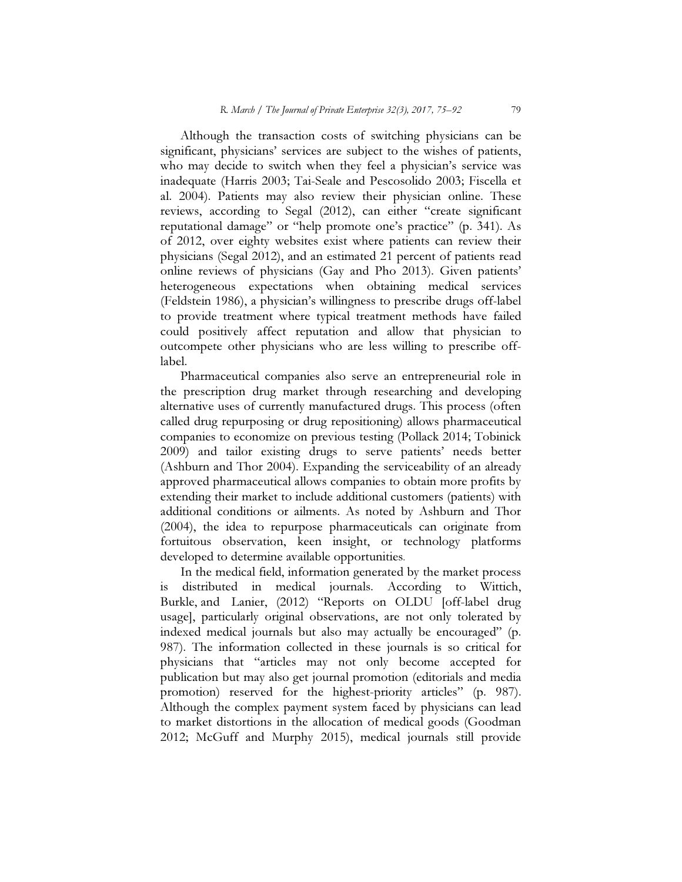Although the transaction costs of switching physicians can be significant, physicians' services are subject to the wishes of patients, who may decide to switch when they feel a physician's service was inadequate (Harris 2003; Tai-Seale and Pescosolido 2003; Fiscella et al. 2004). Patients may also review their physician online. These reviews, according to Segal (2012), can either "create significant reputational damage" or "help promote one's practice" (p. 341). As of 2012, over eighty websites exist where patients can review their physicians (Segal 2012), and an estimated 21 percent of patients read online reviews of physicians (Gay and Pho 2013). Given patients' heterogeneous expectations when obtaining medical services (Feldstein 1986), a physician's willingness to prescribe drugs off-label to provide treatment where typical treatment methods have failed could positively affect reputation and allow that physician to outcompete other physicians who are less willing to prescribe offlabel.

Pharmaceutical companies also serve an entrepreneurial role in the prescription drug market through researching and developing alternative uses of currently manufactured drugs. This process (often called drug repurposing or drug repositioning) allows pharmaceutical companies to economize on previous testing (Pollack 2014; Tobinick 2009) and tailor existing drugs to serve patients' needs better (Ashburn and Thor 2004). Expanding the serviceability of an already approved pharmaceutical allows companies to obtain more profits by extending their market to include additional customers (patients) with additional conditions or ailments. As noted by Ashburn and Thor (2004), the idea to repurpose pharmaceuticals can originate from fortuitous observation, keen insight, or technology platforms developed to determine available opportunities.

In the medical field, information generated by the market process is distributed in medical journals. According to Wittich, Burkle, and Lanier, (2012) "Reports on OLDU [off-label drug usage], particularly original observations, are not only tolerated by indexed medical journals but also may actually be encouraged" (p. 987). The information collected in these journals is so critical for physicians that "articles may not only become accepted for publication but may also get journal promotion (editorials and media promotion) reserved for the highest-priority articles" (p. 987). Although the complex payment system faced by physicians can lead to market distortions in the allocation of medical goods (Goodman 2012; McGuff and Murphy 2015), medical journals still provide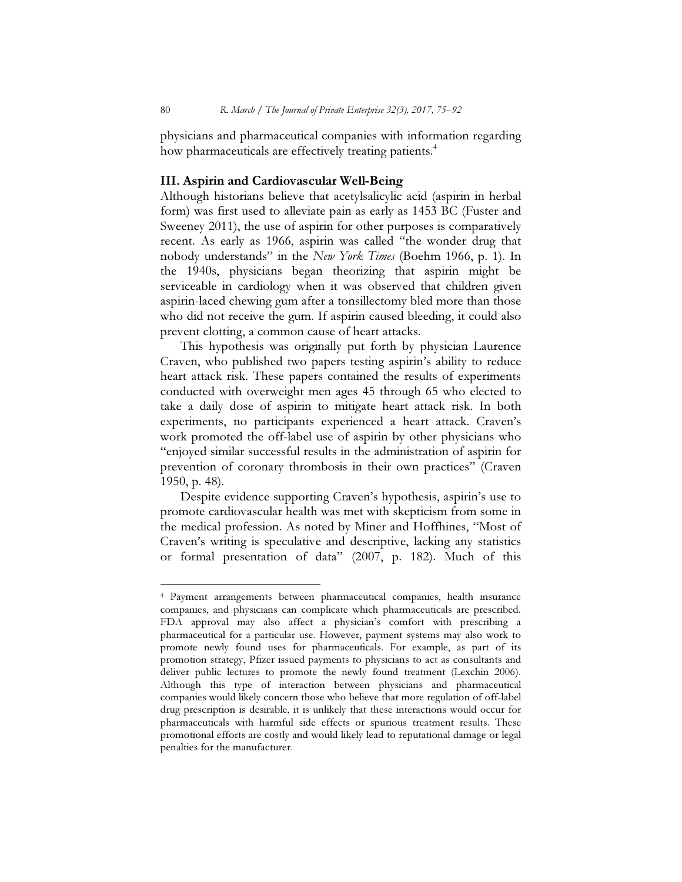physicians and pharmaceutical companies with information regarding how pharmaceuticals are effectively treating patients.<sup>4</sup>

### III. Aspirin and Cardiovascular Well-Being

Although historians believe that acetylsalicylic acid (aspirin in herbal form) was first used to alleviate pain as early as 1453 BC (Fuster and Sweeney 2011), the use of aspirin for other purposes is comparatively recent. As early as 1966, aspirin was called "the wonder drug that nobody understands" in the New York Times (Boehm 1966, p. 1). In the 1940s, physicians began theorizing that aspirin might be serviceable in cardiology when it was observed that children given aspirin-laced chewing gum after a tonsillectomy bled more than those who did not receive the gum. If aspirin caused bleeding, it could also prevent clotting, a common cause of heart attacks.

This hypothesis was originally put forth by physician Laurence Craven, who published two papers testing aspirin's ability to reduce heart attack risk. These papers contained the results of experiments conducted with overweight men ages 45 through 65 who elected to take a daily dose of aspirin to mitigate heart attack risk. In both experiments, no participants experienced a heart attack. Craven's work promoted the off-label use of aspirin by other physicians who "enjoyed similar successful results in the administration of aspirin for prevention of coronary thrombosis in their own practices" (Craven 1950, p. 48).

Despite evidence supporting Craven's hypothesis, aspirin's use to promote cardiovascular health was met with skepticism from some in the medical profession. As noted by Miner and Hoffhines, "Most of Craven's writing is speculative and descriptive, lacking any statistics or formal presentation of data" (2007, p. 182). Much of this

<sup>4</sup> Payment arrangements between pharmaceutical companies, health insurance companies, and physicians can complicate which pharmaceuticals are prescribed. FDA approval may also affect a physician's comfort with prescribing a pharmaceutical for a particular use. However, payment systems may also work to promote newly found uses for pharmaceuticals. For example, as part of its promotion strategy, Pfizer issued payments to physicians to act as consultants and deliver public lectures to promote the newly found treatment (Lexchin 2006). Although this type of interaction between physicians and pharmaceutical companies would likely concern those who believe that more regulation of off-label drug prescription is desirable, it is unlikely that these interactions would occur for pharmaceuticals with harmful side effects or spurious treatment results. These promotional efforts are costly and would likely lead to reputational damage or legal penalties for the manufacturer.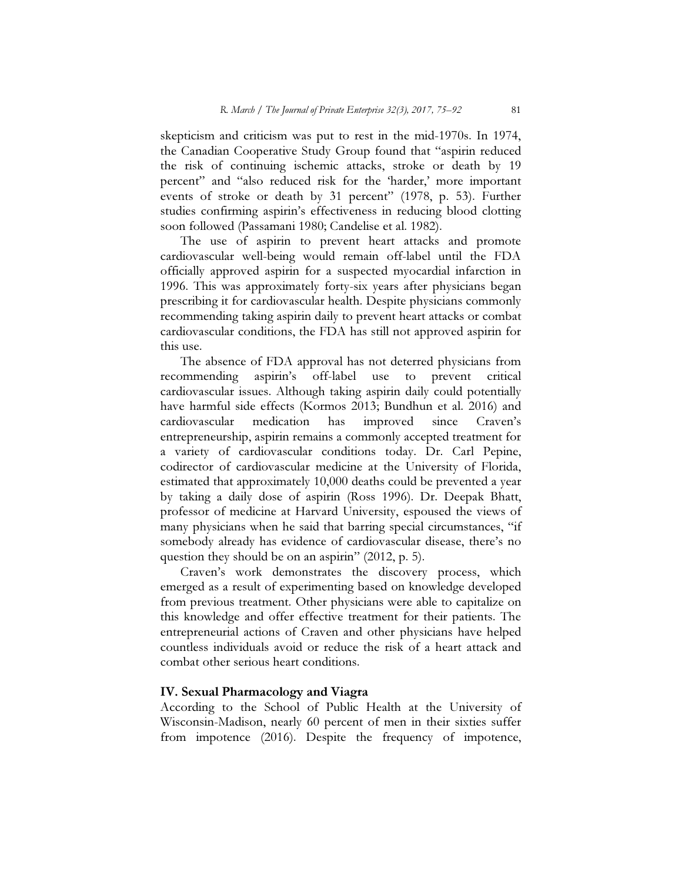skepticism and criticism was put to rest in the mid-1970s. In 1974, the Canadian Cooperative Study Group found that "aspirin reduced the risk of continuing ischemic attacks, stroke or death by 19 percent" and "also reduced risk for the 'harder,' more important events of stroke or death by 31 percent" (1978, p. 53). Further studies confirming aspirin's effectiveness in reducing blood clotting soon followed (Passamani 1980; Candelise et al. 1982).

The use of aspirin to prevent heart attacks and promote cardiovascular well-being would remain off-label until the FDA officially approved aspirin for a suspected myocardial infarction in 1996. This was approximately forty-six years after physicians began prescribing it for cardiovascular health. Despite physicians commonly recommending taking aspirin daily to prevent heart attacks or combat cardiovascular conditions, the FDA has still not approved aspirin for this use.

The absence of FDA approval has not deterred physicians from recommending aspirin's off-label use to prevent critical cardiovascular issues. Although taking aspirin daily could potentially have harmful side effects (Kormos 2013; Bundhun et al. 2016) and cardiovascular medication has improved since Craven's entrepreneurship, aspirin remains a commonly accepted treatment for a variety of cardiovascular conditions today. Dr. Carl Pepine, codirector of cardiovascular medicine at the University of Florida, estimated that approximately 10,000 deaths could be prevented a year by taking a daily dose of aspirin (Ross 1996). Dr. Deepak Bhatt, professor of medicine at Harvard University, espoused the views of many physicians when he said that barring special circumstances, "if somebody already has evidence of cardiovascular disease, there's no question they should be on an aspirin" (2012, p. 5).

Craven's work demonstrates the discovery process, which emerged as a result of experimenting based on knowledge developed from previous treatment. Other physicians were able to capitalize on this knowledge and offer effective treatment for their patients. The entrepreneurial actions of Craven and other physicians have helped countless individuals avoid or reduce the risk of a heart attack and combat other serious heart conditions.

### IV. Sexual Pharmacology and Viagra

According to the School of Public Health at the University of Wisconsin-Madison, nearly 60 percent of men in their sixties suffer from impotence (2016). Despite the frequency of impotence,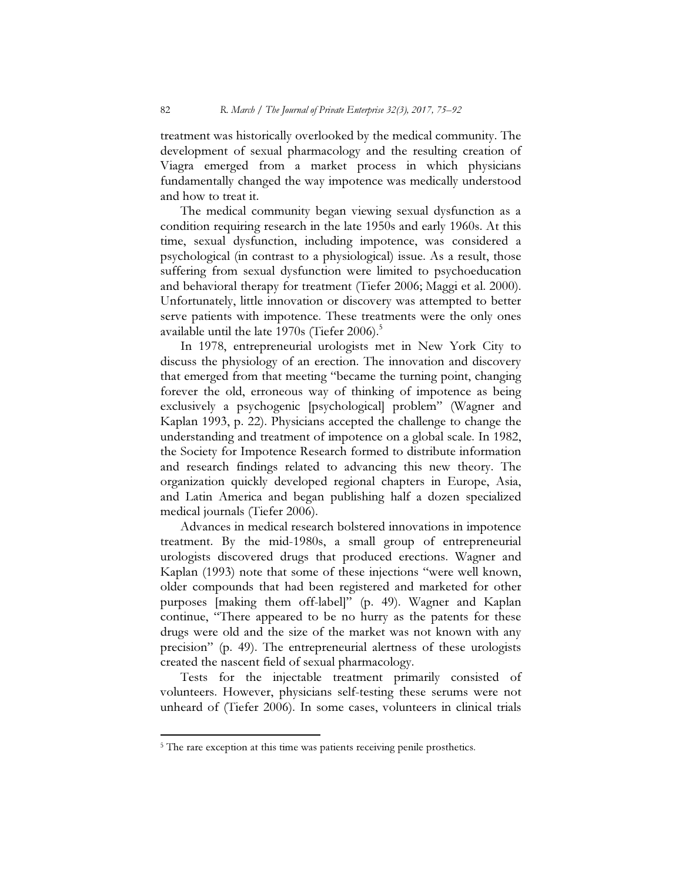treatment was historically overlooked by the medical community. The development of sexual pharmacology and the resulting creation of Viagra emerged from a market process in which physicians fundamentally changed the way impotence was medically understood and how to treat it.

The medical community began viewing sexual dysfunction as a condition requiring research in the late 1950s and early 1960s. At this time, sexual dysfunction, including impotence, was considered a psychological (in contrast to a physiological) issue. As a result, those suffering from sexual dysfunction were limited to psychoeducation and behavioral therapy for treatment (Tiefer 2006; Maggi et al. 2000). Unfortunately, little innovation or discovery was attempted to better serve patients with impotence. These treatments were the only ones available until the late  $1970s$  (Tiefer 2006).<sup>5</sup>

In 1978, entrepreneurial urologists met in New York City to discuss the physiology of an erection. The innovation and discovery that emerged from that meeting "became the turning point, changing forever the old, erroneous way of thinking of impotence as being exclusively a psychogenic [psychological] problem" (Wagner and Kaplan 1993, p. 22). Physicians accepted the challenge to change the understanding and treatment of impotence on a global scale. In 1982, the Society for Impotence Research formed to distribute information and research findings related to advancing this new theory. The organization quickly developed regional chapters in Europe, Asia, and Latin America and began publishing half a dozen specialized medical journals (Tiefer 2006).

Advances in medical research bolstered innovations in impotence treatment. By the mid-1980s, a small group of entrepreneurial urologists discovered drugs that produced erections. Wagner and Kaplan (1993) note that some of these injections "were well known, older compounds that had been registered and marketed for other purposes [making them off-label]" (p. 49). Wagner and Kaplan continue, "There appeared to be no hurry as the patents for these drugs were old and the size of the market was not known with any precision" (p. 49). The entrepreneurial alertness of these urologists created the nascent field of sexual pharmacology.

Tests for the injectable treatment primarily consisted of volunteers. However, physicians self-testing these serums were not unheard of (Tiefer 2006). In some cases, volunteers in clinical trials

<sup>&</sup>lt;sup>5</sup> The rare exception at this time was patients receiving penile prosthetics.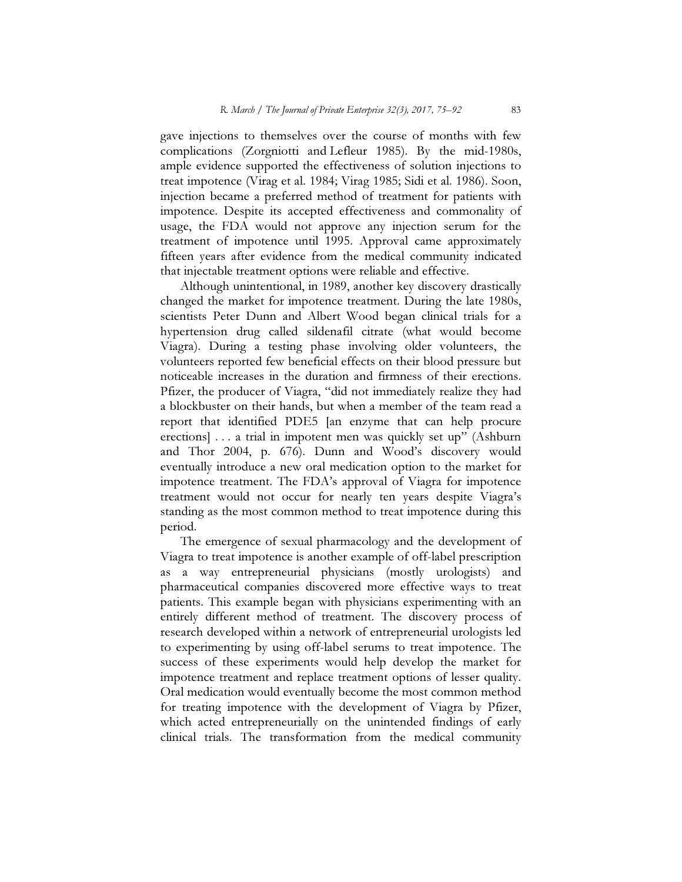gave injections to themselves over the course of months with few complications (Zorgniotti and Lefleur 1985). By the mid-1980s, ample evidence supported the effectiveness of solution injections to treat impotence (Virag et al. 1984; Virag 1985; Sidi et al. 1986). Soon, injection became a preferred method of treatment for patients with impotence. Despite its accepted effectiveness and commonality of usage, the FDA would not approve any injection serum for the treatment of impotence until 1995. Approval came approximately fifteen years after evidence from the medical community indicated that injectable treatment options were reliable and effective.

Although unintentional, in 1989, another key discovery drastically changed the market for impotence treatment. During the late 1980s, scientists Peter Dunn and Albert Wood began clinical trials for a hypertension drug called sildenafil citrate (what would become Viagra). During a testing phase involving older volunteers, the volunteers reported few beneficial effects on their blood pressure but noticeable increases in the duration and firmness of their erections. Pfizer, the producer of Viagra, "did not immediately realize they had a blockbuster on their hands, but when a member of the team read a report that identified PDE5 [an enzyme that can help procure erections] . . . a trial in impotent men was quickly set up" (Ashburn and Thor 2004, p. 676). Dunn and Wood's discovery would eventually introduce a new oral medication option to the market for impotence treatment. The FDA's approval of Viagra for impotence treatment would not occur for nearly ten years despite Viagra's standing as the most common method to treat impotence during this period.

The emergence of sexual pharmacology and the development of Viagra to treat impotence is another example of off-label prescription as a way entrepreneurial physicians (mostly urologists) and pharmaceutical companies discovered more effective ways to treat patients. This example began with physicians experimenting with an entirely different method of treatment. The discovery process of research developed within a network of entrepreneurial urologists led to experimenting by using off-label serums to treat impotence. The success of these experiments would help develop the market for impotence treatment and replace treatment options of lesser quality. Oral medication would eventually become the most common method for treating impotence with the development of Viagra by Pfizer, which acted entrepreneurially on the unintended findings of early clinical trials. The transformation from the medical community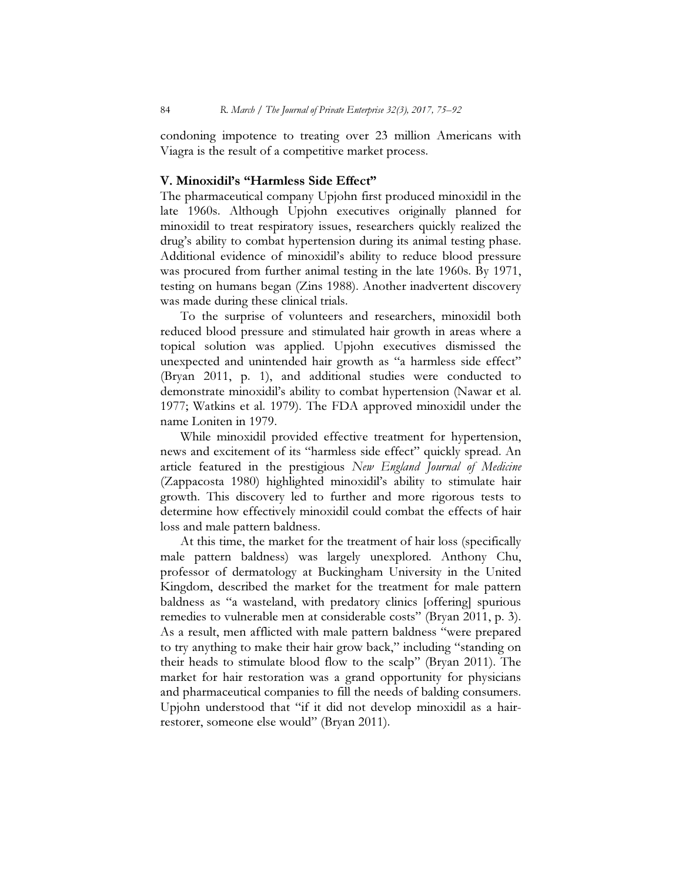condoning impotence to treating over 23 million Americans with Viagra is the result of a competitive market process.

## V. Minoxidil's "Harmless Side Effect"

The pharmaceutical company Upjohn first produced minoxidil in the late 1960s. Although Upjohn executives originally planned for minoxidil to treat respiratory issues, researchers quickly realized the drug's ability to combat hypertension during its animal testing phase. Additional evidence of minoxidil's ability to reduce blood pressure was procured from further animal testing in the late 1960s. By 1971, testing on humans began (Zins 1988). Another inadvertent discovery was made during these clinical trials.

To the surprise of volunteers and researchers, minoxidil both reduced blood pressure and stimulated hair growth in areas where a topical solution was applied. Upjohn executives dismissed the unexpected and unintended hair growth as "a harmless side effect" (Bryan 2011, p. 1), and additional studies were conducted to demonstrate minoxidil's ability to combat hypertension (Nawar et al. 1977; Watkins et al. 1979). The FDA approved minoxidil under the name Loniten in 1979.

While minoxidil provided effective treatment for hypertension, news and excitement of its "harmless side effect" quickly spread. An article featured in the prestigious New England Journal of Medicine (Zappacosta 1980) highlighted minoxidil's ability to stimulate hair growth. This discovery led to further and more rigorous tests to determine how effectively minoxidil could combat the effects of hair loss and male pattern baldness.

At this time, the market for the treatment of hair loss (specifically male pattern baldness) was largely unexplored. Anthony Chu, professor of dermatology at Buckingham University in the United Kingdom, described the market for the treatment for male pattern baldness as "a wasteland, with predatory clinics [offering] spurious remedies to vulnerable men at considerable costs" (Bryan 2011, p. 3). As a result, men afflicted with male pattern baldness "were prepared to try anything to make their hair grow back," including "standing on their heads to stimulate blood flow to the scalp" (Bryan 2011). The market for hair restoration was a grand opportunity for physicians and pharmaceutical companies to fill the needs of balding consumers. Upjohn understood that "if it did not develop minoxidil as a hairrestorer, someone else would" (Bryan 2011).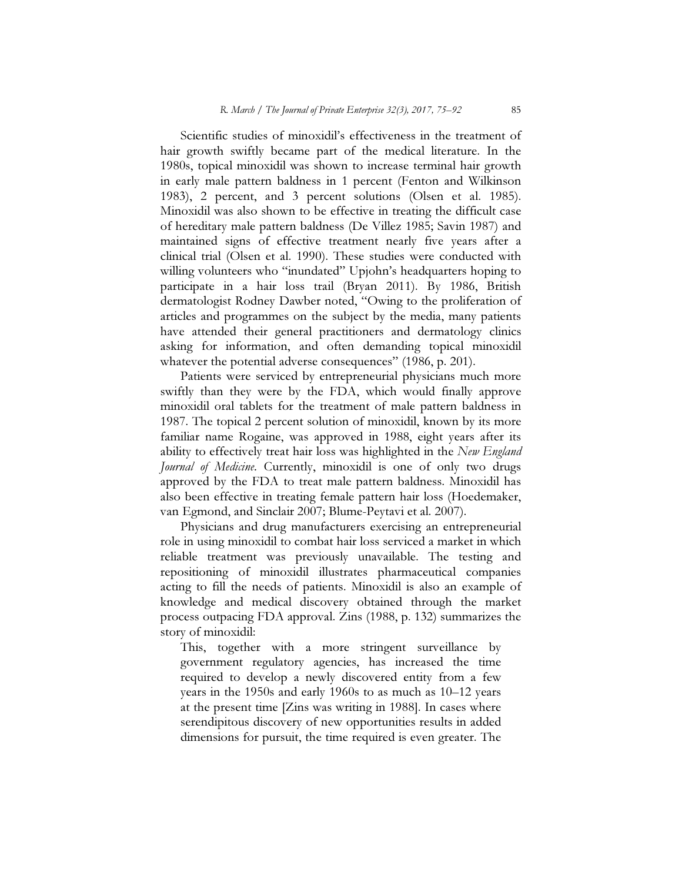Scientific studies of minoxidil's effectiveness in the treatment of hair growth swiftly became part of the medical literature. In the 1980s, topical minoxidil was shown to increase terminal hair growth in early male pattern baldness in 1 percent (Fenton and Wilkinson 1983), 2 percent, and 3 percent solutions (Olsen et al. 1985). Minoxidil was also shown to be effective in treating the difficult case of hereditary male pattern baldness (De Villez 1985; Savin 1987) and maintained signs of effective treatment nearly five years after a clinical trial (Olsen et al. 1990). These studies were conducted with willing volunteers who "inundated" Upjohn's headquarters hoping to participate in a hair loss trail (Bryan 2011). By 1986, British dermatologist Rodney Dawber noted, "Owing to the proliferation of articles and programmes on the subject by the media, many patients have attended their general practitioners and dermatology clinics asking for information, and often demanding topical minoxidil whatever the potential adverse consequences" (1986, p. 201).

Patients were serviced by entrepreneurial physicians much more swiftly than they were by the FDA, which would finally approve minoxidil oral tablets for the treatment of male pattern baldness in 1987. The topical 2 percent solution of minoxidil, known by its more familiar name Rogaine, was approved in 1988, eight years after its ability to effectively treat hair loss was highlighted in the New England Journal of Medicine. Currently, minoxidil is one of only two drugs approved by the FDA to treat male pattern baldness. Minoxidil has also been effective in treating female pattern hair loss (Hoedemaker, van Egmond, and Sinclair 2007; Blume-Peytavi et al. 2007).

Physicians and drug manufacturers exercising an entrepreneurial role in using minoxidil to combat hair loss serviced a market in which reliable treatment was previously unavailable. The testing and repositioning of minoxidil illustrates pharmaceutical companies acting to fill the needs of patients. Minoxidil is also an example of knowledge and medical discovery obtained through the market process outpacing FDA approval. Zins (1988, p. 132) summarizes the story of minoxidil:

This, together with a more stringent surveillance by government regulatory agencies, has increased the time required to develop a newly discovered entity from a few years in the 1950s and early 1960s to as much as 10–12 years at the present time [Zins was writing in 1988]. In cases where serendipitous discovery of new opportunities results in added dimensions for pursuit, the time required is even greater. The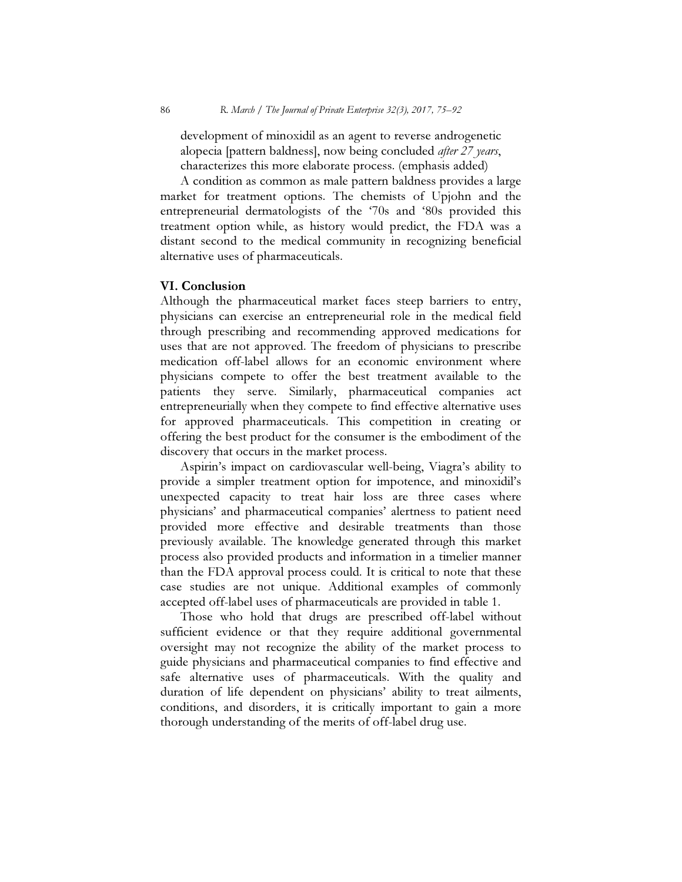development of minoxidil as an agent to reverse androgenetic alopecia [pattern baldness], now being concluded *after 27 years*, characterizes this more elaborate process. (emphasis added)

A condition as common as male pattern baldness provides a large market for treatment options. The chemists of Upjohn and the entrepreneurial dermatologists of the '70s and '80s provided this treatment option while, as history would predict, the FDA was a distant second to the medical community in recognizing beneficial alternative uses of pharmaceuticals.

### VI. Conclusion

Although the pharmaceutical market faces steep barriers to entry, physicians can exercise an entrepreneurial role in the medical field through prescribing and recommending approved medications for uses that are not approved. The freedom of physicians to prescribe medication off-label allows for an economic environment where physicians compete to offer the best treatment available to the patients they serve. Similarly, pharmaceutical companies act entrepreneurially when they compete to find effective alternative uses for approved pharmaceuticals. This competition in creating or offering the best product for the consumer is the embodiment of the discovery that occurs in the market process.

Aspirin's impact on cardiovascular well-being, Viagra's ability to provide a simpler treatment option for impotence, and minoxidil's unexpected capacity to treat hair loss are three cases where physicians' and pharmaceutical companies' alertness to patient need provided more effective and desirable treatments than those previously available. The knowledge generated through this market process also provided products and information in a timelier manner than the FDA approval process could. It is critical to note that these case studies are not unique. Additional examples of commonly accepted off-label uses of pharmaceuticals are provided in table 1.

Those who hold that drugs are prescribed off-label without sufficient evidence or that they require additional governmental oversight may not recognize the ability of the market process to guide physicians and pharmaceutical companies to find effective and safe alternative uses of pharmaceuticals. With the quality and duration of life dependent on physicians' ability to treat ailments, conditions, and disorders, it is critically important to gain a more thorough understanding of the merits of off-label drug use.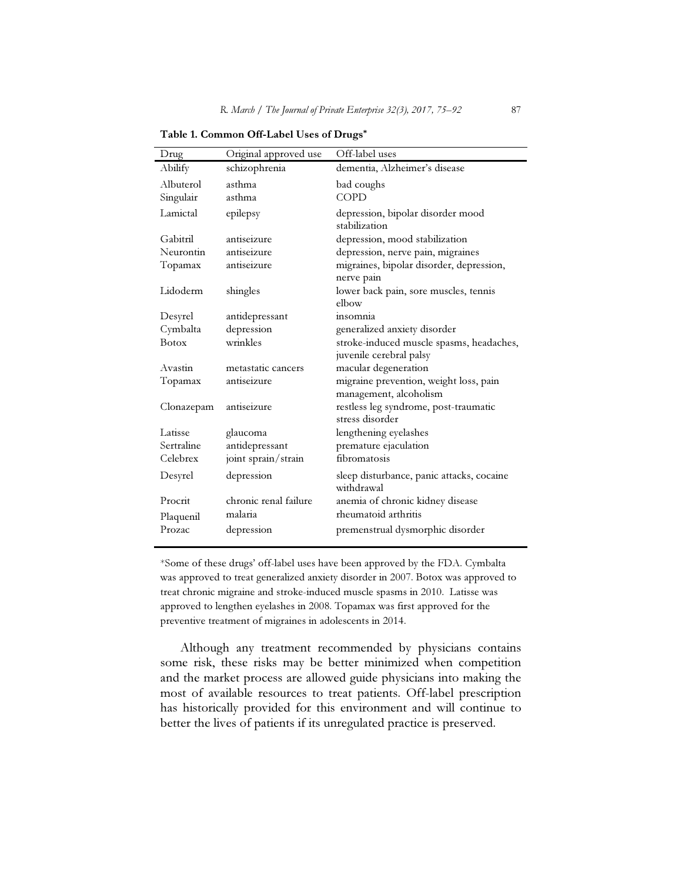| Drug         | Original approved use | Off-label uses                                                      |
|--------------|-----------------------|---------------------------------------------------------------------|
| Abilify      | schizophrenia         | dementia, Alzheimer's disease                                       |
| Albuterol    | asthma                | bad coughs                                                          |
| Singulair    | asthma                | <b>COPD</b>                                                         |
| Lamictal     | epilepsy              | depression, bipolar disorder mood<br>stabilization                  |
| Gabitril     | antiseizure           | depression, mood stabilization                                      |
| Neurontin    | antiseizure           | depression, nerve pain, migraines                                   |
| Topamax      | antiseizure           | migraines, bipolar disorder, depression,<br>nerve pain              |
| Lidoderm     | shingles              | lower back pain, sore muscles, tennis<br>elbow                      |
| Desyrel      | antidepressant        | insomnia                                                            |
| Cymbalta     | depression            | generalized anxiety disorder                                        |
| <b>Botox</b> | wrinkles              | stroke-induced muscle spasms, headaches,<br>juvenile cerebral palsy |
| Avastin      | metastatic cancers    | macular degeneration                                                |
| Topamax      | antiseizure           | migraine prevention, weight loss, pain<br>management, alcoholism    |
| Clonazepam   | antiseizure           | restless leg syndrome, post-traumatic<br>stress disorder            |
| Latisse      | glaucoma              | lengthening eyelashes                                               |
| Sertraline   | antidepressant        | premature ejaculation                                               |
| Celebrex     | joint sprain/strain   | fibromatosis                                                        |
| Desyrel      | depression            | sleep disturbance, panic attacks, cocaine<br>withdrawal             |
| Procrit      | chronic renal failure | anemia of chronic kidney disease                                    |
| Plaquenil    | malaria               | rheumatoid arthritis                                                |
| Prozac       | depression            | premenstrual dysmorphic disorder                                    |

Table 1. Common Off-Label Uses of Drugs\*

\*Some of these drugs' off-label uses have been approved by the FDA. Cymbalta was approved to treat generalized anxiety disorder in 2007. Botox was approved to treat chronic migraine and stroke-induced muscle spasms in 2010. Latisse was approved to lengthen eyelashes in 2008. Topamax was first approved for the preventive treatment of migraines in adolescents in 2014.

Although any treatment recommended by physicians contains some risk, these risks may be better minimized when competition and the market process are allowed guide physicians into making the most of available resources to treat patients. Off-label prescription has historically provided for this environment and will continue to better the lives of patients if its unregulated practice is preserved.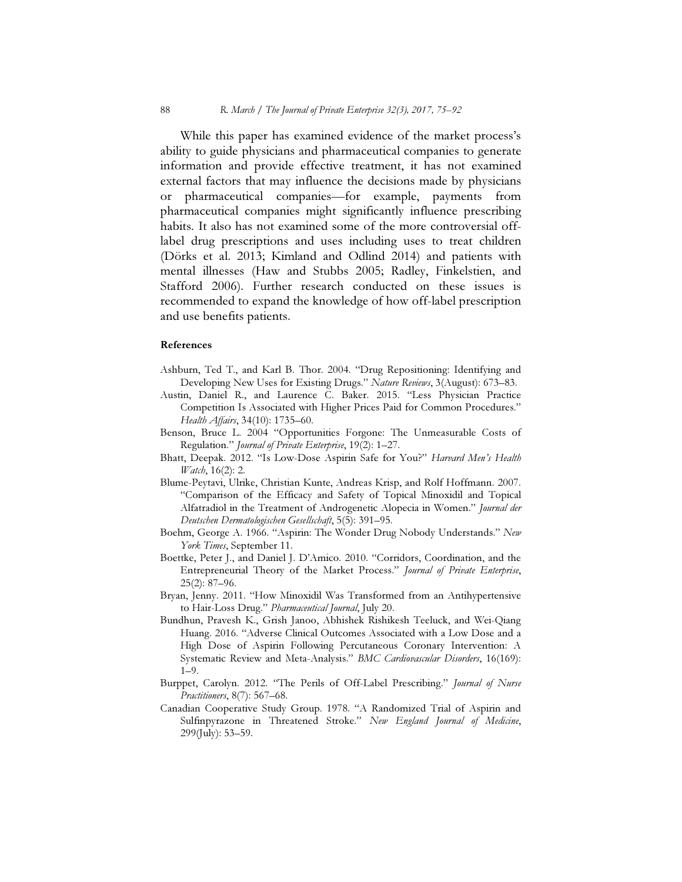While this paper has examined evidence of the market process's ability to guide physicians and pharmaceutical companies to generate information and provide effective treatment, it has not examined external factors that may influence the decisions made by physicians or pharmaceutical companies—for example, payments from pharmaceutical companies might significantly influence prescribing habits. It also has not examined some of the more controversial offlabel drug prescriptions and uses including uses to treat children (Dörks et al. 2013; Kimland and Odlind 2014) and patients with mental illnesses (Haw and Stubbs 2005; Radley, Finkelstien, and Stafford 2006). Further research conducted on these issues is recommended to expand the knowledge of how off-label prescription and use benefits patients.

#### References

- Ashburn, Ted T., and Karl B. Thor. 2004. "Drug Repositioning: Identifying and Developing New Uses for Existing Drugs." Nature Reviews, 3(August): 673–83.
- Austin, Daniel R., and Laurence C. Baker. 2015. "Less Physician Practice Competition Is Associated with Higher Prices Paid for Common Procedures." Health Affairs, 34(10): 1735–60.
- Benson, Bruce L. 2004 "Opportunities Forgone: The Unmeasurable Costs of Regulation." Journal of Private Enterprise, 19(2): 1-27.
- Bhatt, Deepak. 2012. "Is Low-Dose Aspirin Safe for You?" Harvard Men's Health Watch, 16(2): 2.
- Blume-Peytavi, Ulrike, Christian Kunte, Andreas Krisp, and Rolf Hoffmann. 2007. "Comparison of the Efficacy and Safety of Topical Minoxidil and Topical Alfatradiol in the Treatment of Androgenetic Alopecia in Women." Journal der Deutschen Dermatologischen Gesellschaft, 5(5): 391–95.
- Boehm, George A. 1966. "Aspirin: The Wonder Drug Nobody Understands." New York Times, September 11.
- Boettke, Peter J., and Daniel J. D'Amico. 2010. "Corridors, Coordination, and the Entrepreneurial Theory of the Market Process." Journal of Private Enterprise, 25(2): 87–96.
- Bryan, Jenny. 2011. "How Minoxidil Was Transformed from an Antihypertensive to Hair-Loss Drug." Pharmaceutical Journal, July 20.
- Bundhun, Pravesh K., Grish Janoo, Abhishek Rishikesh Teeluck, and Wei-Qiang Huang. 2016. "Adverse Clinical Outcomes Associated with a Low Dose and a High Dose of Aspirin Following Percutaneous Coronary Intervention: A Systematic Review and Meta-Analysis." BMC Cardiovascular Disorders, 16(169): 1–9.
- Burppet, Carolyn. 2012. "The Perils of Off-Label Prescribing." Journal of Nurse Practitioners, 8(7): 567–68.
- Canadian Cooperative Study Group. 1978. "A Randomized Trial of Aspirin and Sulfinpyrazone in Threatened Stroke." New England Journal of Medicine, 299(July): 53–59.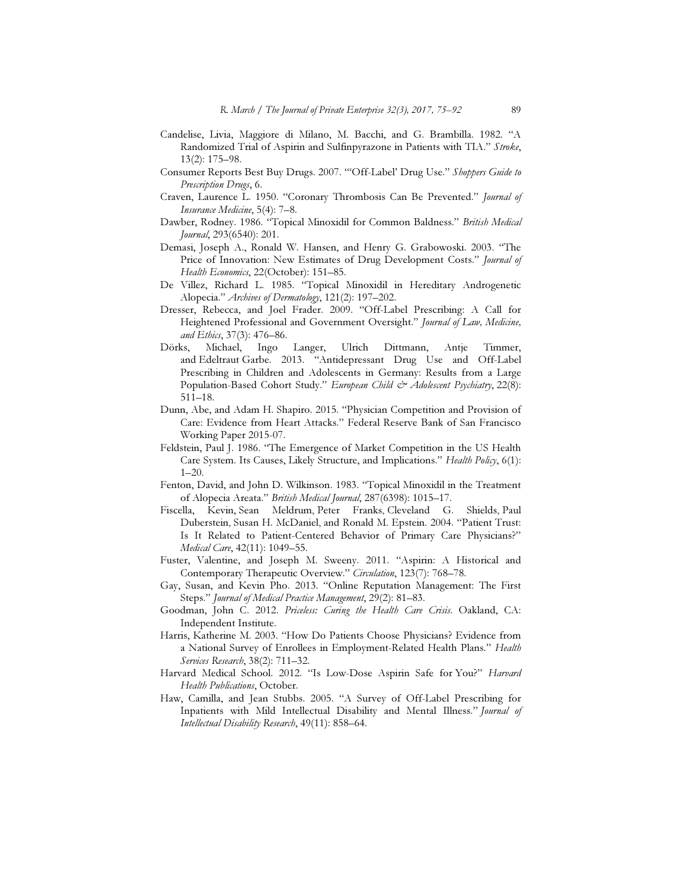- Candelise, Livia, Maggiore di Milano, M. Bacchi, and G. Brambilla. 1982. "A Randomized Trial of Aspirin and Sulfinpyrazone in Patients with TIA." Stroke, 13(2): 175–98.
- Consumer Reports Best Buy Drugs. 2007. "'Off-Label' Drug Use." Shoppers Guide to Prescription Drugs, 6.
- Craven, Laurence L. 1950. "Coronary Thrombosis Can Be Prevented." Journal of Insurance Medicine, 5(4): 7–8.
- Dawber, Rodney. 1986. "Topical Minoxidil for Common Baldness." British Medical Journal, 293(6540): 201.
- Demasi, Joseph A., Ronald W. Hansen, and Henry G. Grabowoski. 2003. "The Price of Innovation: New Estimates of Drug Development Costs." Journal of Health Economics, 22(October): 151–85.
- De Villez, Richard L. 1985. "Topical Minoxidil in Hereditary Androgenetic Alopecia." Archives of Dermatology, 121(2): 197–202.
- Dresser, Rebecca, and Joel Frader. 2009. "Off-Label Prescribing: A Call for Heightened Professional and Government Oversight." Journal of Law, Medicine, and Ethics, 37(3): 476–86.
- Dörks, Michael, Ingo Langer, Ulrich Dittmann, Antje Timmer, and Edeltraut Garbe. 2013. "Antidepressant Drug Use and Off-Label Prescribing in Children and Adolescents in Germany: Results from a Large Population-Based Cohort Study." European Child & Adolescent Psychiatry, 22(8): 511–18.
- Dunn, Abe, and Adam H. Shapiro. 2015. "Physician Competition and Provision of Care: Evidence from Heart Attacks." Federal Reserve Bank of San Francisco Working Paper 2015-07.
- Feldstein, Paul J. 1986. "The Emergence of Market Competition in the US Health Care System. Its Causes, Likely Structure, and Implications." Health Policy, 6(1): 1–20.
- Fenton, David, and John D. Wilkinson. 1983. "Topical Minoxidil in the Treatment of Alopecia Areata." British Medical Journal, 287(6398): 1015–17.
- Fiscella, Kevin, Sean Meldrum, Peter Franks, Cleveland G. Shields, Paul Duberstein, Susan H. McDaniel, and Ronald M. Epstein. 2004. "Patient Trust: Is It Related to Patient-Centered Behavior of Primary Care Physicians?" Medical Care, 42(11): 1049–55.
- Fuster, Valentine, and Joseph M. Sweeny. 2011. "Aspirin: A Historical and Contemporary Therapeutic Overview." Circulation, 123(7): 768-78.
- Gay, Susan, and Kevin Pho. 2013. "Online Reputation Management: The First Steps." Journal of Medical Practice Management, 29(2): 81-83.
- Goodman, John C. 2012. Priceless: Curing the Health Care Crisis. Oakland, CA: Independent Institute.
- Harris, Katherine M. 2003. "How Do Patients Choose Physicians? Evidence from a National Survey of Enrollees in Employment-Related Health Plans." Health Services Research, 38(2): 711–32.
- Harvard Medical School. 2012. "Is Low-Dose Aspirin Safe for You?" Harvard Health Publications, October.
- Haw, Camilla, and Jean Stubbs. 2005. "A Survey of Off-Label Prescribing for Inpatients with Mild Intellectual Disability and Mental Illness." Journal of Intellectual Disability Research, 49(11): 858–64.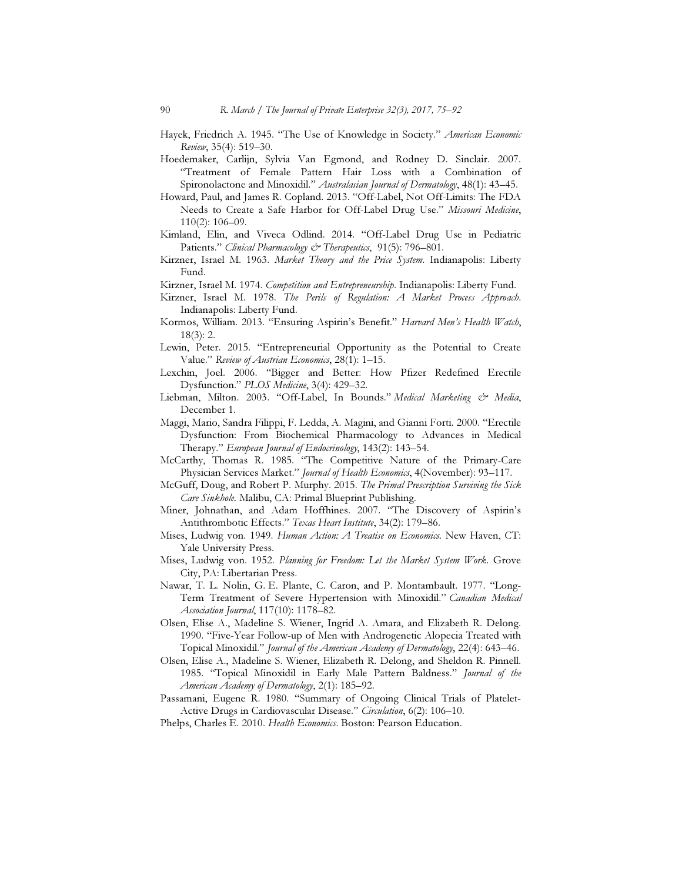- Hayek, Friedrich A. 1945. "The Use of Knowledge in Society." American Economic Review, 35(4): 519–30.
- Hoedemaker, Carlijn, Sylvia Van Egmond, and Rodney D. Sinclair. 2007. "Treatment of Female Pattern Hair Loss with a Combination of Spironolactone and Minoxidil." Australasian Journal of Dermatology, 48(1): 43-45.
- Howard, Paul, and James R. Copland. 2013. "Off-Label, Not Off-Limits: The FDA Needs to Create a Safe Harbor for Off-Label Drug Use." Missouri Medicine, 110(2): 106–09.
- Kimland, Elin, and Viveca Odlind. 2014. "Off-Label Drug Use in Pediatric Patients." Clinical Pharmacology & Therapeutics, 91(5): 796-801.
- Kirzner, Israel M. 1963. Market Theory and the Price System. Indianapolis: Liberty Fund.
- Kirzner, Israel M. 1974. Competition and Entrepreneurship. Indianapolis: Liberty Fund.
- Kirzner, Israel M. 1978. The Perils of Regulation: A Market Process Approach. Indianapolis: Liberty Fund.
- Kormos, William. 2013. "Ensuring Aspirin's Benefit." Harvard Men's Health Watch, 18(3): 2.
- Lewin, Peter. 2015. "Entrepreneurial Opportunity as the Potential to Create Value." Review of Austrian Economics, 28(1): 1–15.
- Lexchin, Joel. 2006. "Bigger and Better: How Pfizer Redefined Erectile Dysfunction." PLOS Medicine, 3(4): 429–32.
- Liebman, Milton. 2003. "Off-Label, In Bounds." Medical Marketing & Media, December 1.
- Maggi, Mario, Sandra Filippi, F. Ledda, A. Magini, and Gianni Forti. 2000. "Erectile Dysfunction: From Biochemical Pharmacology to Advances in Medical Therapy." European Journal of Endocrinology, 143(2): 143–54.
- McCarthy, Thomas R. 1985. "The Competitive Nature of the Primary-Care Physician Services Market." Journal of Health Economics, 4(November): 93-117.
- McGuff, Doug, and Robert P. Murphy. 2015. The Primal Prescription Surviving the Sick Care Sinkhole. Malibu, CA: Primal Blueprint Publishing.
- Miner, Johnathan, and Adam Hoffhines. 2007. "The Discovery of Aspirin's Antithrombotic Effects." Texas Heart Institute, 34(2): 179-86.
- Mises, Ludwig von. 1949. Human Action: A Treatise on Economics. New Haven, CT: Yale University Press.
- Mises, Ludwig von. 1952. Planning for Freedom: Let the Market System Work. Grove City, PA: Libertarian Press.
- Nawar, T. L. Nolin, G. E. Plante, C. Caron, and P. Montambault. 1977. "Long-Term Treatment of Severe Hypertension with Minoxidil." Canadian Medical Association Journal, 117(10): 1178–82.
- Olsen, Elise A., Madeline S. Wiener, Ingrid A. Amara, and Elizabeth R. Delong. 1990. "Five-Year Follow-up of Men with Androgenetic Alopecia Treated with Topical Minoxidil." Journal of the American Academy of Dermatology, 22(4): 643-46.
- Olsen, Elise A., Madeline S. Wiener, Elizabeth R. Delong, and Sheldon R. Pinnell. 1985. "Topical Minoxidil in Early Male Pattern Baldness." Journal of the American Academy of Dermatology, 2(1): 185–92.
- Passamani, Eugene R. 1980. "Summary of Ongoing Clinical Trials of Platelet-Active Drugs in Cardiovascular Disease." Circulation, 6(2): 106-10.
- Phelps, Charles E. 2010. Health Economics. Boston: Pearson Education.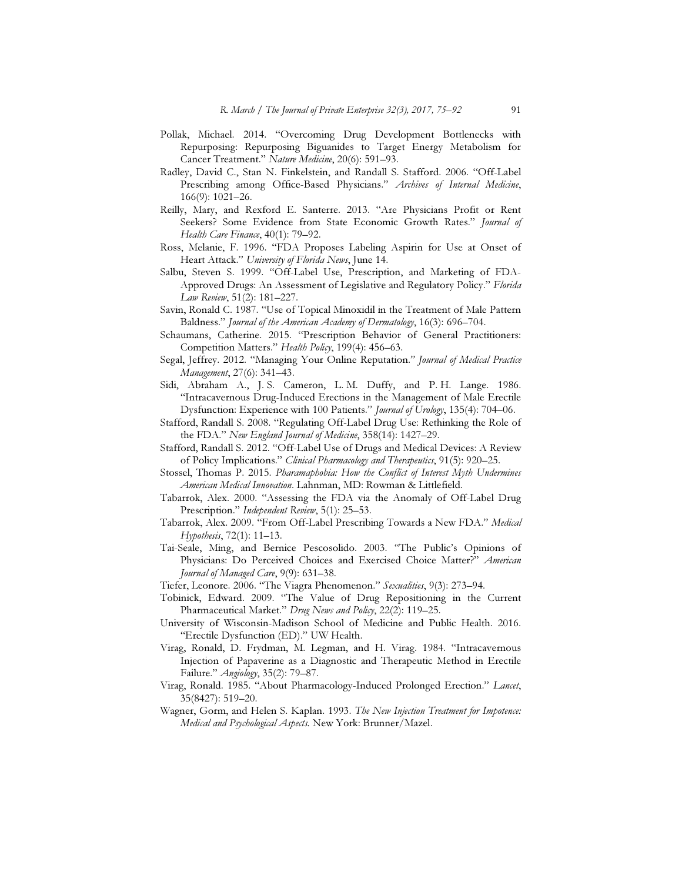- Pollak, Michael. 2014. "Overcoming Drug Development Bottlenecks with Repurposing: Repurposing Biguanides to Target Energy Metabolism for Cancer Treatment." Nature Medicine, 20(6): 591–93.
- Radley, David C., Stan N. Finkelstein, and Randall S. Stafford. 2006. "Off-Label Prescribing among Office-Based Physicians." Archives of Internal Medicine, 166(9): 1021–26.
- Reilly, Mary, and Rexford E. Santerre. 2013. "Are Physicians Profit or Rent Seekers? Some Evidence from State Economic Growth Rates." Journal of Health Care Finance, 40(1): 79–92.
- Ross, Melanie, F. 1996. "FDA Proposes Labeling Aspirin for Use at Onset of Heart Attack." University of Florida News, June 14.
- Salbu, Steven S. 1999. "Off-Label Use, Prescription, and Marketing of FDA-Approved Drugs: An Assessment of Legislative and Regulatory Policy." Florida Law Review, 51(2): 181–227.
- Savin, Ronald C. 1987. "Use of Topical Minoxidil in the Treatment of Male Pattern Baldness." Journal of the American Academy of Dermatology, 16(3): 696–704.
- Schaumans, Catherine. 2015. "Prescription Behavior of General Practitioners: Competition Matters." Health Policy, 199(4): 456-63.
- Segal, Jeffrey. 2012. "Managing Your Online Reputation." Journal of Medical Practice Management, 27(6): 341–43.
- Sidi, Abraham A., J. S. Cameron, L. M. Duffy, and P. H. Lange. 1986. "Intracavernous Drug-Induced Erections in the Management of Male Erectile Dysfunction: Experience with 100 Patients." Journal of Urology, 135(4): 704-06.
- Stafford, Randall S. 2008. "Regulating Off-Label Drug Use: Rethinking the Role of the FDA." New England Journal of Medicine, 358(14): 1427–29.
- Stafford, Randall S. 2012. "Off-Label Use of Drugs and Medical Devices: A Review of Policy Implications." Clinical Pharmacology and Therapeutics, 91(5): 920–25.
- Stossel, Thomas P. 2015. Pharamaphobia: How the Conflict of Interest Myth Undermines American Medical Innovation. Lahnman, MD: Rowman & Littlefield.
- Tabarrok, Alex. 2000. "Assessing the FDA via the Anomaly of Off-Label Drug Prescription." Independent Review, 5(1): 25–53.
- Tabarrok, Alex. 2009. "From Off-Label Prescribing Towards a New FDA." Medical Hypothesis, 72(1): 11–13.
- Tai-Seale, Ming, and Bernice Pescosolido. 2003. "The Public's Opinions of Physicians: Do Perceived Choices and Exercised Choice Matter?" American Journal of Managed Care, 9(9): 631–38.
- Tiefer, Leonore. 2006. "The Viagra Phenomenon." Sexualities, 9(3): 273-94.
- Tobinick, Edward. 2009. "The Value of Drug Repositioning in the Current Pharmaceutical Market." Drug News and Policy, 22(2): 119-25.
- University of Wisconsin-Madison School of Medicine and Public Health. 2016. "Erectile Dysfunction (ED)." UW Health.
- Virag, Ronald, D. Frydman, M. Legman, and H. Virag. 1984. "Intracavernous Injection of Papaverine as a Diagnostic and Therapeutic Method in Erectile Failure." Angiology, 35(2): 79–87.
- Virag, Ronald. 1985. "About Pharmacology-Induced Prolonged Erection." Lancet, 35(8427): 519–20.
- Wagner, Gorm, and Helen S. Kaplan. 1993. The New Injection Treatment for Impotence: Medical and Psychological Aspects. New York: Brunner/Mazel.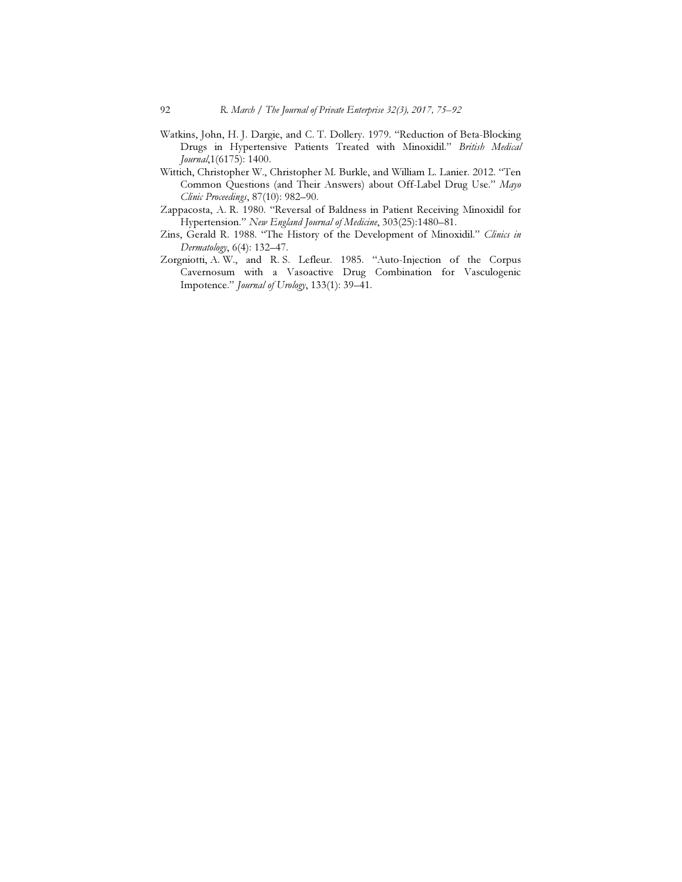- Watkins, John, H. J. Dargie, and C. T. Dollery. 1979. "Reduction of Beta-Blocking Drugs in Hypertensive Patients Treated with Minoxidil." British Medical Journal,1(6175): 1400.
- Wittich, Christopher W., Christopher M. Burkle, and William L. Lanier. 2012. "Ten Common Questions (and Their Answers) about Off-Label Drug Use." Mayo Clinic Proceedings, 87(10): 982–90.
- Zappacosta, A. R. 1980. "Reversal of Baldness in Patient Receiving Minoxidil for Hypertension." New England Journal of Medicine, 303(25):1480–81.
- Zins, Gerald R. 1988. "The History of the Development of Minoxidil." Clinics in Dermatology, 6(4): 132–47.
- Zorgniotti, A. W., and R. S. Lefleur. 1985. "Auto-Injection of the Corpus Cavernosum with a Vasoactive Drug Combination for Vasculogenic Impotence." Journal of Urology, 133(1): 39–41.